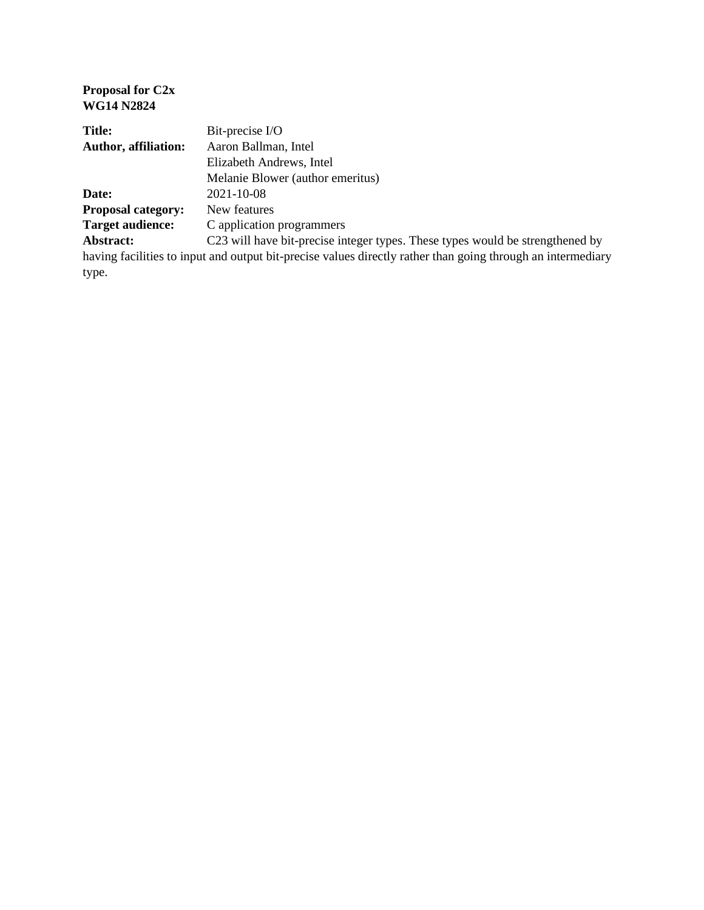#### **Proposal for C2x WG14 N2824**

| <b>Title:</b>               | Bit-precise I/O                                                                                             |
|-----------------------------|-------------------------------------------------------------------------------------------------------------|
| <b>Author, affiliation:</b> | Aaron Ballman, Intel                                                                                        |
|                             | Elizabeth Andrews, Intel                                                                                    |
|                             | Melanie Blower (author emeritus)                                                                            |
| Date:                       | 2021-10-08                                                                                                  |
| <b>Proposal category:</b>   | New features                                                                                                |
| <b>Target audience:</b>     | C application programmers                                                                                   |
| Abstract:                   | C23 will have bit-precise integer types. These types would be strengthened by                               |
|                             | having facilities to input and output bit-precise values directly rather than going through an intermediary |
| type.                       |                                                                                                             |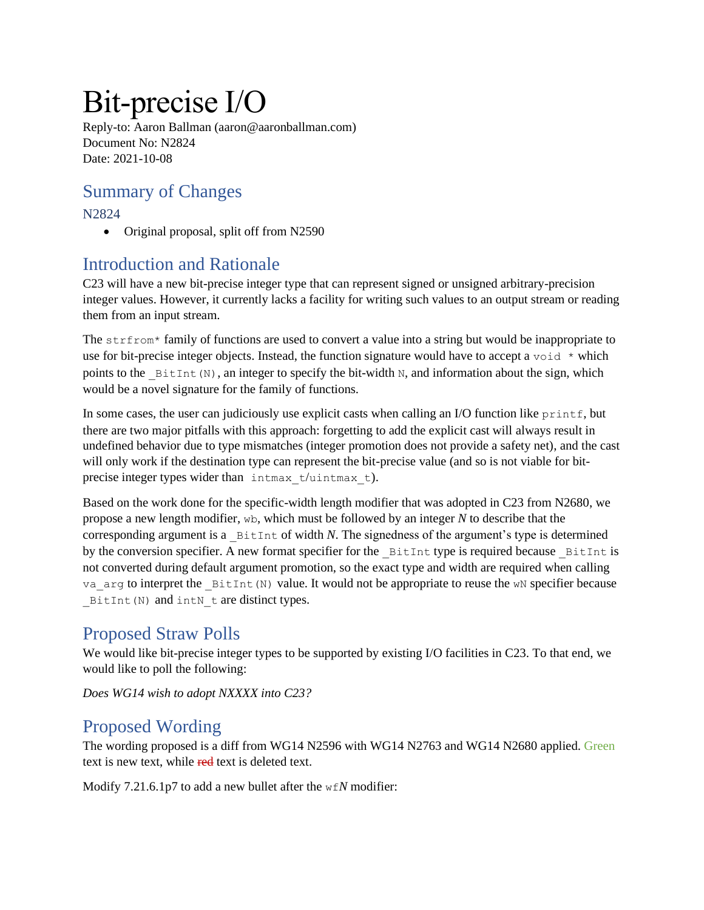# Bit-precise I/O

Reply-to: Aaron Ballman (aaron@aaronballman.com) Document No: N2824 Date: 2021-10-08

#### Summary of Changes

N2824

• Original proposal, split off from N2590

#### Introduction and Rationale

C23 will have a new bit-precise integer type that can represent signed or unsigned arbitrary-precision integer values. However, it currently lacks a facility for writing such values to an output stream or reading them from an input stream.

The strfrom\* family of functions are used to convert a value into a string but would be inappropriate to use for bit-precise integer objects. Instead, the function signature would have to accept a void  $*$  which points to the  $BittInt(N)$ , an integer to specify the bit-width N, and information about the sign, which would be a novel signature for the family of functions.

In some cases, the user can judiciously use explicit casts when calling an I/O function like  $print$ , but there are two major pitfalls with this approach: forgetting to add the explicit cast will always result in undefined behavior due to type mismatches (integer promotion does not provide a safety net), and the cast will only work if the destination type can represent the bit-precise value (and so is not viable for bitprecise integer types wider than intmax t/uintmax t).

Based on the work done for the specific-width length modifier that was adopted in C23 from N2680, we propose a new length modifier, wb, which must be followed by an integer *N* to describe that the corresponding argument is a  $B$   $B$ itInt of width *N*. The signedness of the argument's type is determined by the conversion specifier. A new format specifier for the \_BitInt type is required because \_BitInt is not converted during default argument promotion, so the exact type and width are required when calling va arg to interpret the BitInt(N) value. It would not be appropriate to reuse the wN specifier because BitInt(N) and intN t are distinct types.

### Proposed Straw Polls

We would like bit-precise integer types to be supported by existing I/O facilities in C23. To that end, we would like to poll the following:

*Does WG14 wish to adopt NXXXX into C23?*

#### Proposed Wording

The wording proposed is a diff from WG14 N2596 with WG14 N2763 and WG14 N2680 applied. Green text is new text, while red text is deleted text.

Modify 7.21.6.1p7 to add a new bullet after the wf*N* modifier: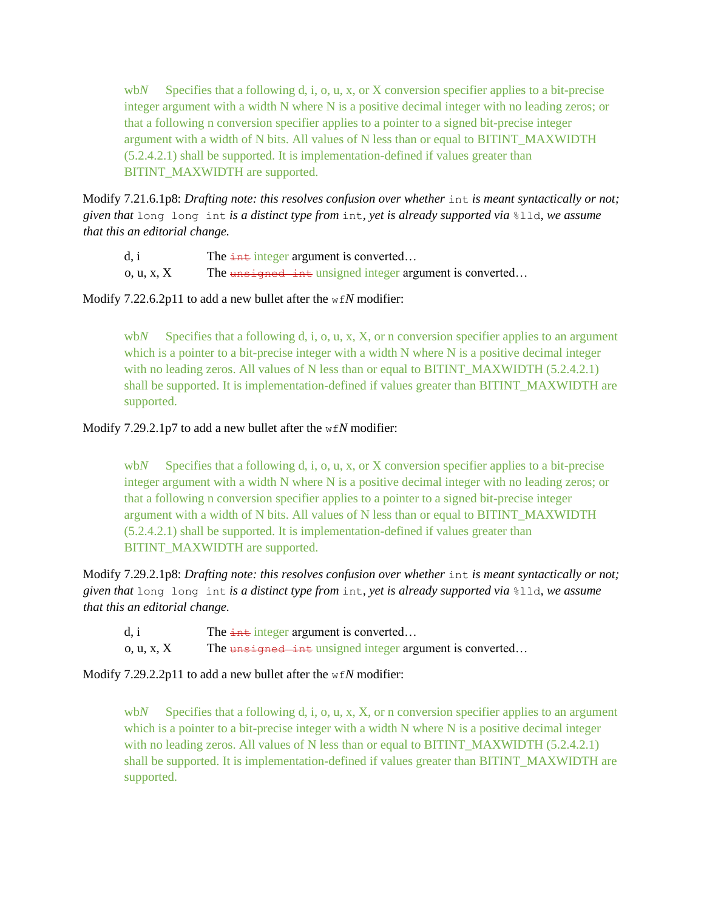wb*N* Specifies that a following d, i, o, u, x, or X conversion specifier applies to a bit-precise integer argument with a width N where N is a positive decimal integer with no leading zeros; or that a following n conversion specifier applies to a pointer to a signed bit-precise integer argument with a width of N bits. All values of N less than or equal to BITINT\_MAXWIDTH (5.2.4.2.1) shall be supported. It is implementation-defined if values greater than BITINT\_MAXWIDTH are supported.

Modify 7.21.6.1p8: *Drafting note: this resolves confusion over whether* int *is meant syntactically or not; given that* long long int *is a distinct type from* int*, yet is already supported via* %lld*, we assume that this an editorial change.*

d, i The  $\frac{1}{2}$  The  $\frac{1}{2}$  The  $\frac{1}{2}$  The  $\frac{1}{2}$  integer argument is converted...

o, u, x,  $X$  The unsigned integer argument is converted...

Modify 7.22.6.2p11 to add a new bullet after the wf*N* modifier:

wb*N* Specifies that a following d, i, o, u, x, X, or n conversion specifier applies to an argument which is a pointer to a bit-precise integer with a width N where N is a positive decimal integer with no leading zeros. All values of N less than or equal to BITINT\_MAXWIDTH (5.2.4.2.1) shall be supported. It is implementation-defined if values greater than BITINT\_MAXWIDTH are supported.

#### Modify 7.29.2.1p7 to add a new bullet after the wf*N* modifier:

wb*N* Specifies that a following d, i, o, u, x, or X conversion specifier applies to a bit-precise integer argument with a width N where N is a positive decimal integer with no leading zeros; or that a following n conversion specifier applies to a pointer to a signed bit-precise integer argument with a width of N bits. All values of N less than or equal to BITINT\_MAXWIDTH (5.2.4.2.1) shall be supported. It is implementation-defined if values greater than BITINT\_MAXWIDTH are supported.

Modify 7.29.2.1p8: *Drafting note: this resolves confusion over whether* int *is meant syntactically or not; given that* long long int *is a distinct type from* int*, yet is already supported via* %lld*, we assume that this an editorial change.*

d, i The  $\frac{1}{2}$  The  $\frac{1}{2}$  integer argument is converted...

o, u, x,  $X$  The unsigned integer argument is converted...

Modify 7.29.2.2p11 to add a new bullet after the wf*N* modifier:

wb*N* Specifies that a following d, i, o, u, x, X, or n conversion specifier applies to an argument which is a pointer to a bit-precise integer with a width N where N is a positive decimal integer with no leading zeros. All values of N less than or equal to BITINT\_MAXWIDTH (5.2.4.2.1) shall be supported. It is implementation-defined if values greater than BITINT\_MAXWIDTH are supported.